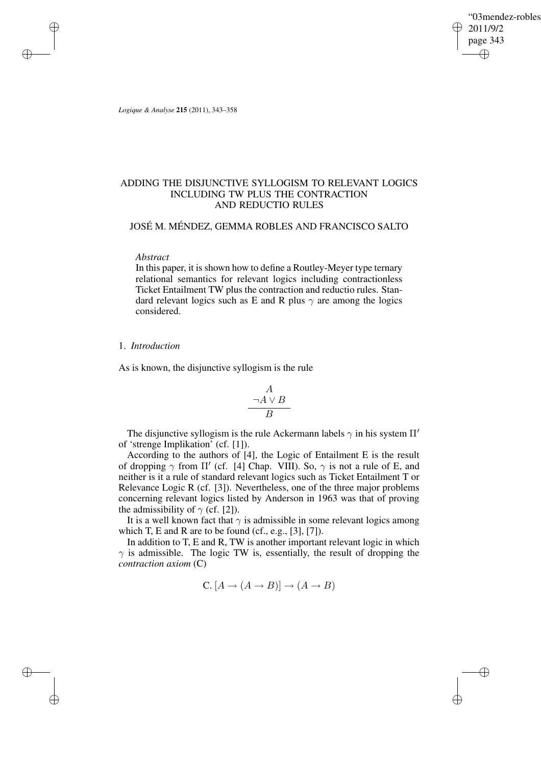"03mendez-robles 2011/9/2 page 343 ✐ ✐

✐

✐

*Logique & Analyse* **215** (2011), 343–358

✐

✐

✐

✐

# ADDING THE DISJUNCTIVE SYLLOGISM TO RELEVANT LOGICS INCLUDING TW PLUS THE CONTRACTION AND REDUCTIO RULES

# JOSÉ M. MÉNDEZ, GEMMA ROBLES AND FRANCISCO SALTO

### *Abstract*

In this paper, it is shown how to define a Routley-Meyer type ternary relational semantics for relevant logics including contractionless Ticket Entailment TW plus the contraction and reductio rules. Standard relevant logics such as E and R plus  $\gamma$  are among the logics considered.

### 1. *Introduction*

As is known, the disjunctive syllogism is the rule

$$
\begin{array}{c}\nA \\
\neg A \lor B \\
B\n\end{array}
$$

The disjunctive syllogism is the rule Ackermann labels  $\gamma$  in his system  $\Pi'$ of 'strenge Implikation' (cf. [1]).

According to the authors of [4], the Logic of Entailment E is the result of dropping  $\gamma$  from  $\Pi'$  (cf. [4] Chap. VIII). So,  $\gamma$  is not a rule of E, and neither is it a rule of standard relevant logics such as Ticket Entailment T or Relevance Logic R (cf. [3]). Nevertheless, one of the three major problems concerning relevant logics listed by Anderson in 1963 was that of proving the admissibility of  $\gamma$  (cf. [2]).

It is a well known fact that  $\gamma$  is admissible in some relevant logics among which T, E and R are to be found (cf., e.g.,  $[3]$ ,  $[7]$ ).

In addition to T, E and R, TW is another important relevant logic in which  $\gamma$  is admissible. The logic TW is, essentially, the result of dropping the *contraction axiom* (C)

$$
C. [A \to (A \to B)] \to (A \to B)
$$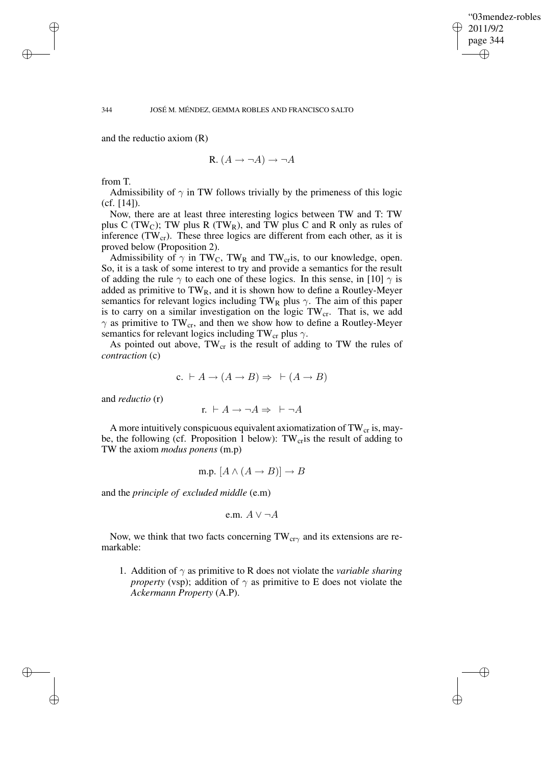✐

### 344 JOSÉ M. MÉNDEZ, GEMMA ROBLES AND FRANCISCO SALTO

and the reductio axiom (R)

$$
R. (A \to \neg A) \to \neg A
$$

from T.

Admissibility of  $\gamma$  in TW follows trivially by the primeness of this logic (cf. [14]).

Now, there are at least three interesting logics between TW and T: TW plus C (TW<sub>C</sub>); TW plus R (TW<sub>R</sub>), and TW plus C and R only as rules of inference  $(TW_{cr})$ . These three logics are different from each other, as it is proved below (Proposition 2).

Admissibility of  $\gamma$  in TW<sub>C</sub>, TW<sub>R</sub> and TW<sub>cr</sub>is, to our knowledge, open. So, it is a task of some interest to try and provide a semantics for the result of adding the rule  $\gamma$  to each one of these logics. In this sense, in [10]  $\gamma$  is added as primitive to  $TW_R$ , and it is shown how to define a Routley-Meyer semantics for relevant logics including TW<sub>R</sub> plus  $\gamma$ . The aim of this paper is to carry on a similar investigation on the logic  $TW_{cr}$ . That is, we add  $\gamma$  as primitive to TW<sub>cr</sub>, and then we show how to define a Routley-Meyer semantics for relevant logics including TW<sub>cr</sub> plus  $\gamma$ .

As pointed out above,  $TW_{cr}$  is the result of adding to TW the rules of *contraction* (c)

$$
c. \vdash A \to (A \to B) \Rightarrow \vdash (A \to B)
$$

and *reductio* (r)

$$
r. \ \vdash A \to \neg A \Rightarrow \ \vdash \neg A
$$

A more intuitively conspicuous equivalent axiomatization of  $TW_{cr}$  is, maybe, the following (cf. Proposition 1 below):  $TW_{cr}$  is the result of adding to TW the axiom *modus ponens* (m.p)

m.p. 
$$
[A \land (A \rightarrow B)] \rightarrow B
$$

and the *principle of excluded middle* (e.m)

e.m. 
$$
A \vee \neg A
$$

Now, we think that two facts concerning  $TW_{cr\gamma}$  and its extensions are remarkable:

1. Addition of  $\gamma$  as primitive to R does not violate the *variable sharing property* (vsp); addition of  $\gamma$  as primitive to E does not violate the *Ackermann Property* (A.P).

✐

✐

✐

✐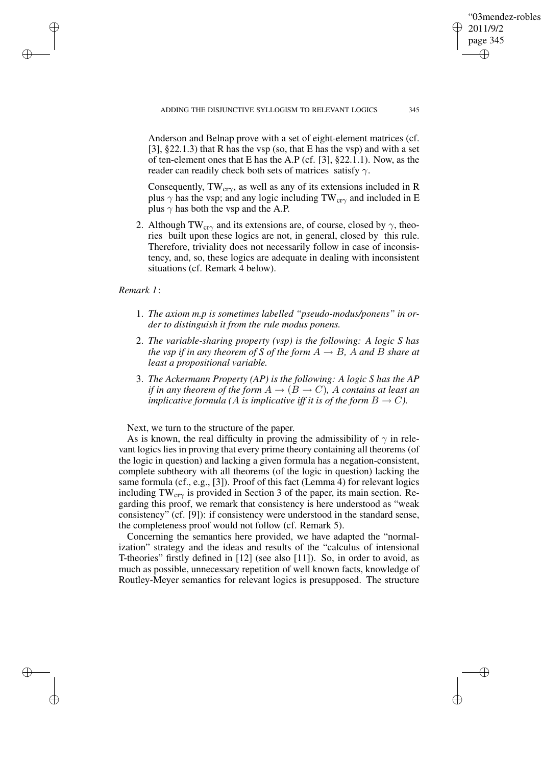✐

Anderson and Belnap prove with a set of eight-element matrices (cf. [3],  $\S 22.1.3$ ) that R has the vsp (so, that E has the vsp) and with a set of ten-element ones that E has the A.P (cf. [3], §22.1.1). Now, as the reader can readily check both sets of matrices satisfy  $\gamma$ .

Consequently,  $TW_{cr\gamma}$ , as well as any of its extensions included in R plus  $\gamma$  has the vsp; and any logic including TW<sub>cr $\gamma$ </sub> and included in E plus  $\gamma$  has both the vsp and the A.P.

2. Although TW<sub>cr $\gamma$ </sub> and its extensions are, of course, closed by  $\gamma$ , theories built upon these logics are not, in general, closed by this rule. Therefore, triviality does not necessarily follow in case of inconsistency, and, so, these logics are adequate in dealing with inconsistent situations (cf. Remark 4 below).

*Remark 1*:

✐

✐

✐

✐

- 1. *The axiom m.p is sometimes labelled "pseudo-modus/ponens" in order to distinguish it from the rule modus ponens.*
- 2. *The variable-sharing property (vsp) is the following: A logic S has the vsp if in any theorem of S of the form*  $A \rightarrow B$ *, A and B share at least a propositional variable.*
- 3. *The Ackermann Property (AP) is the following: A logic S has the AP if in any theorem of the form*  $A \rightarrow (B \rightarrow C)$ *, A contains at least an implicative formula* (A *is implicative iff it is of the form*  $B \to C$ ).

Next, we turn to the structure of the paper.

As is known, the real difficulty in proving the admissibility of  $\gamma$  in relevant logics lies in proving that every prime theory containing all theorems (of the logic in question) and lacking a given formula has a negation-consistent, complete subtheory with all theorems (of the logic in question) lacking the same formula (cf., e.g., [3]). Proof of this fact (Lemma 4) for relevant logics including  $TW_{cr\gamma}$  is provided in Section 3 of the paper, its main section. Regarding this proof, we remark that consistency is here understood as "weak consistency" (cf. [9]): if consistency were understood in the standard sense, the completeness proof would not follow (cf. Remark 5).

Concerning the semantics here provided, we have adapted the "normalization" strategy and the ideas and results of the "calculus of intensional T-theories" firstly defined in [12] (see also [11]). So, in order to avoid, as much as possible, unnecessary repetition of well known facts, knowledge of Routley-Meyer semantics for relevant logics is presupposed. The structure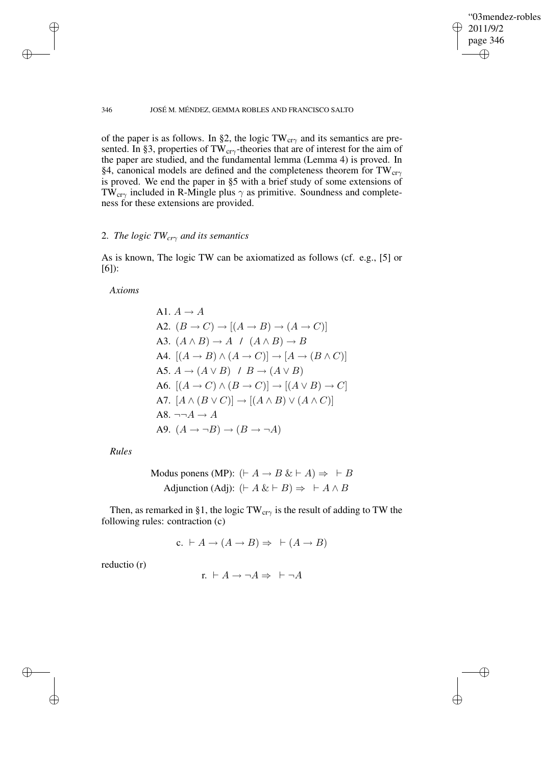✐

### 346 JOSÉ M. MÉNDEZ, GEMMA ROBLES AND FRANCISCO SALTO

of the paper is as follows. In §2, the logic  $TW_{cr\gamma}$  and its semantics are presented. In §3, properties of TW<sub>cr $\gamma$ </sub>-theories that are of interest for the aim of the paper are studied, and the fundamental lemma (Lemma 4) is proved. In §4, canonical models are defined and the completeness theorem for  $TW_{cr\gamma}$ is proved. We end the paper in §5 with a brief study of some extensions of TW<sub>cr $\gamma$ </sub> included in R-Mingle plus  $\gamma$  as primitive. Soundness and completeness for these extensions are provided.

## 2. *The logic TWcr*<sup>γ</sup> *and its semantics*

As is known, The logic TW can be axiomatized as follows (cf. e.g., [5] or [6]):

*Axioms*

✐

✐

A1. 
$$
A \rightarrow A
$$
  
\nA2.  $(B \rightarrow C) \rightarrow [(A \rightarrow B) \rightarrow (A \rightarrow C)]$   
\nA3.  $(A \land B) \rightarrow A \land (A \land B) \rightarrow B$   
\nA4.  $[(A \rightarrow B) \land (A \rightarrow C)] \rightarrow [A \rightarrow (B \land C)]$   
\nA5.  $A \rightarrow (A \lor B) \land B \rightarrow (A \lor B)$   
\nA6.  $[(A \rightarrow C) \land (B \rightarrow C)] \rightarrow [(A \lor B) \rightarrow C]$   
\nA7.  $[A \land (B \lor C)] \rightarrow [(A \land B) \lor (A \land C)]$   
\nA8.  $\neg \neg A \rightarrow A$   
\nA9.  $(A \rightarrow \neg B) \rightarrow (B \rightarrow \neg A)$ 

*Rules*

Modus ponens (MP):

\n
$$
(\vdash A \to B \& \vdash A) \Rightarrow \vdash B
$$
\nAdjunction (Adj):

\n
$$
(\vdash A \& \vdash B) \Rightarrow \vdash A \land B
$$

Then, as remarked in §1, the logic TW<sub>cr $\gamma$ </sub> is the result of adding to TW the following rules: contraction (c)

c. 
$$
\vdash A \rightarrow (A \rightarrow B) \Rightarrow \vdash (A \rightarrow B)
$$

reductio (r)

✐

✐

$$
r. \ \vdash A \to \neg A \Rightarrow \ \vdash \neg A
$$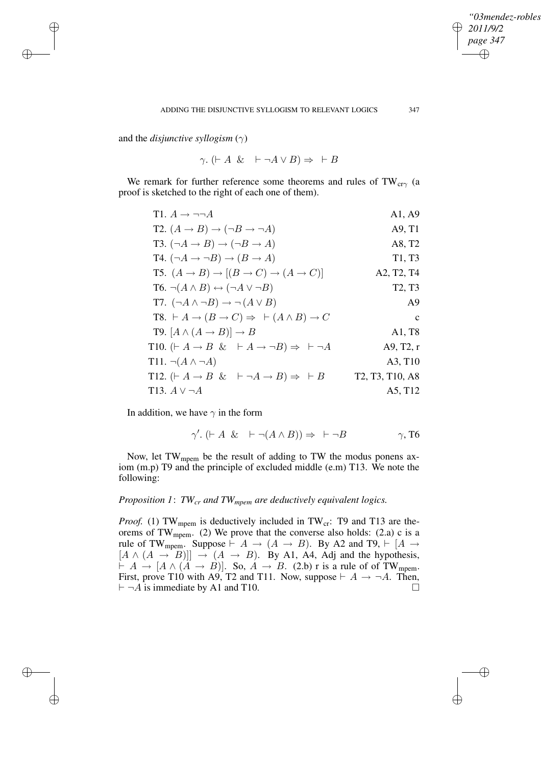✐

and the *disjunctive syllogism*  $(\gamma)$ 

✐

✐

✐

✐

 $\gamma$ . ( $\vdash A \& \vdash \neg A \vee B \Rightarrow \vdash B$ 

We remark for further reference some theorems and rules of  $TW_{cr\gamma}$  (a proof is sketched to the right of each one of them).

| T1. $A \rightarrow \neg\neg A$                                                            | A1, A9                                                             |
|-------------------------------------------------------------------------------------------|--------------------------------------------------------------------|
| T2. $(A \rightarrow B) \rightarrow (\neg B \rightarrow \neg A)$                           | A9, T1                                                             |
| T3. $(\neg A \rightarrow B) \rightarrow (\neg B \rightarrow A)$                           | A8, T2                                                             |
| T4. $(\neg A \rightarrow \neg B) \rightarrow (B \rightarrow A)$                           | T <sub>1</sub> , T <sub>3</sub>                                    |
| T5. $(A \rightarrow B) \rightarrow [(B \rightarrow C) \rightarrow (A \rightarrow C)]$     | A <sub>2</sub> , T <sub>2</sub> , T <sub>4</sub>                   |
| $T6. \neg (A \land B) \leftrightarrow (\neg A \lor \neg B)$                               | T <sub>2</sub> , T <sub>3</sub>                                    |
| T7. $(\neg A \land \neg B) \rightarrow \neg (A \lor B)$                                   | A <sup>9</sup>                                                     |
| T8. $\vdash A \rightarrow (B \rightarrow C) \Rightarrow \vdash (A \land B) \rightarrow C$ | $\mathbf{C}$                                                       |
| <b>T9.</b> $[A \wedge (A \rightarrow B)] \rightarrow B$                                   | A1, T8                                                             |
| T10. $(A \rightarrow B \& A \rightarrow \neg B) \Rightarrow \vdash \neg A$                | A9, T2, r                                                          |
| T11. $\neg(A \land \neg A)$                                                               | A3, T <sub>10</sub>                                                |
| T12. $(F A \rightarrow B \& F \neg A \rightarrow B) \Rightarrow F B$                      | T <sub>2</sub> , T <sub>3</sub> , T <sub>10</sub> , A <sub>8</sub> |
| T13. $A$ V $\neg A$                                                                       | A5, T12                                                            |

In addition, we have  $\gamma$  in the form

$$
\gamma'.\ (\vdash A \ \& \ \vdash \neg(A \land B)) \Rightarrow \ \vdash \neg B \qquad \gamma, \text{T6}
$$

Now, let TW<sub>mpem</sub> be the result of adding to TW the modus ponens axiom (m.p) T9 and the principle of excluded middle (e.m) T13. We note the following:

# *Proposition 1*: *TWcr and TWmpem are deductively equivalent logics.*

*Proof.* (1) TW<sub>mpem</sub> is deductively included in TW<sub>cr</sub>: T9 and T13 are theorems of  $TW_{mpem}$ . (2) We prove that the converse also holds: (2.a) c is a rule of TW<sub>mpem</sub>. Suppose  $\vdash A \rightarrow (A \rightarrow B)$ . By A2 and T9,  $\vdash [A \rightarrow$  $[A \wedge (A \rightarrow B)]] \rightarrow (A \rightarrow B)$ . By A1, A4, Adj and the hypothesis,  $\vdash A \rightarrow [A \land (A \rightarrow B)]$ . So,  $A \rightarrow B$ . (2.b) r is a rule of of TW<sub>mpem</sub>. First, prove T10 with A9, T2 and T11. Now, suppose  $\vdash A \rightarrow \neg A$ . Then,  $\vdash \neg A$  is immediate by A1 and T10.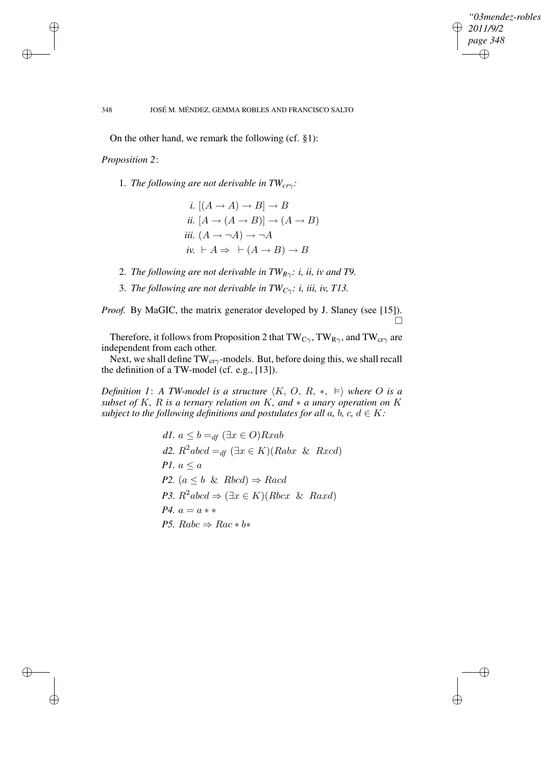✐

### 348 JOSÉ M. MÉNDEZ, GEMMA ROBLES AND FRANCISCO SALTO

On the other hand, we remark the following (cf. §1):

*Proposition 2*:

✐

✐

✐

✐

- 1. *The following are not derivable in TWcr*γ*:*
	- *i.*  $[(A \rightarrow A) \rightarrow B] \rightarrow B$ *ii.*  $[A \rightarrow (A \rightarrow B)] \rightarrow (A \rightarrow B)$ *iii.*  $(A \rightarrow \neg A) \rightarrow \neg A$ *iv.*  $\vdash A \Rightarrow \vdash (A \rightarrow B) \rightarrow B$
- 2. *The following are not derivable in*  $TW_{R\gamma}$ *: i, ii, iv and T9.*
- 3. *The following are not derivable in TWC*γ*: i, iii, iv, T13.*

*Proof.* By MaGIC, the matrix generator developed by J. Slaney (see [15]).  $\Box$ 

Therefore, it follows from Proposition 2 that  $TW_{C\gamma}$ , TW<sub>R $\gamma$ </sub>, and TW<sub>cr $\gamma$ </sub> are independent from each other.

Next, we shall define  $TW_{cr\gamma}$ -models. But, before doing this, we shall recall the definition of a TW-model (cf. e.g., [13]).

*Definition* 1: A *TW-model is a structure*  $\langle K, O, R, *, \models \rangle$  *where O is a subset* of K, R *is* a *ternary relation* on K, and  $*$  *a unary operation* on K *subject to the following definitions and postulates for all a, b, c,*  $d \in K$ *:* 

\n- d1. 
$$
a \leq b =_{df} (\exists x \in O) R x ab
$$
\n- d2.  $R^2 abcd =_{df} (\exists x \in K) (Rabx \& Rxcd)$
\n- P1.  $a \leq a$
\n- P2.  $(a \leq b \& Rbcd) \Rightarrow Racd$
\n- P3.  $R^2 abcd \Rightarrow (\exists x \in K) (Rbcx \& Raxd)$
\n- P4.  $a = a \ast \ast$
\n- P5.  $Rabc \Rightarrow Rac \ast b \ast$
\n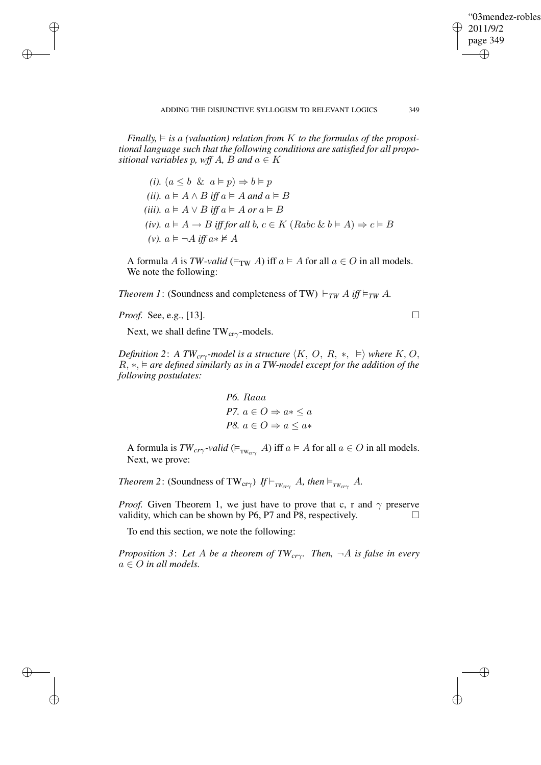✐

*Finally,*  $\models$  *is a (valuation) relation from* K *to the formulas of the propositional language such that the following conditions are satisfied for all propositional variables* p, wff A, B and  $a \in K$ 

*(i).*  $(a \leq b \And a \models p) \Rightarrow b \models p$ *(ii).*  $a \models A \land B$  *iff*  $a \models A$  *and*  $a \models B$ *(iii).*  $a \models A \lor B$  *iff*  $a \models A$  *or*  $a \models B$ *(iv).*  $a \models A \rightarrow B$  *iff for all b,*  $c \in K$  *(Rabc & b*  $\models A$ )  $\Rightarrow$   $c \models B$ *(v).*  $a \models \neg A$  *iff*  $a * \nvdash A$ 

A formula A is *TW-valid* ( $\models_{TW} A$ ) iff  $a \models A$  for all  $a \in O$  in all models. We note the following:

*Theorem 1*: (Soundness and completeness of TW)  $\vdash_{TW} A$  *iff*  $\models_{TW} A$ *.* 

*Proof.* See, e.g., [13]. □

✐

✐

✐

✐

Next, we shall define  $TW_{cr\gamma}$ -models.

*Definition* 2: *A TW*<sub>*cr* $\gamma$ -model is a structure  $\langle K, O, R, * , \vDash \rangle$  where  $K, O$ ,</sub> R, ∗, *are defined similarly as in a TW-model except for the addition of the following postulates:*

P6. Raaa  
P7. 
$$
a \in O \Rightarrow a* \le a
$$
  
P8.  $a \in O \Rightarrow a \le a*$ 

A formula is  $TW_{cr\gamma}$ -valid ( $\models_{TW_{cr\gamma}} A$ ) iff  $a \models A$  for all  $a \in O$  in all models. Next, we prove:

*Theorem* 2: (Soundness of TW<sub>cr $\gamma$ </sub>) *If*  $\vdash$ <sub>*TWcr* $\gamma$ </sub> A*, then*  $\models$ <sub>*TWcr* $\gamma$ </sub> A*.* 

*Proof.* Given Theorem 1, we just have to prove that c, r and  $\gamma$  preserve validity, which can be shown by P6, P7 and P8, respectively.  $\Box$ 

To end this section, we note the following:

*Proposition 3*: *Let* A *be a theorem of TWcr*γ*. Then,* ¬A *is false in every*  $a \in O$  *in all models.*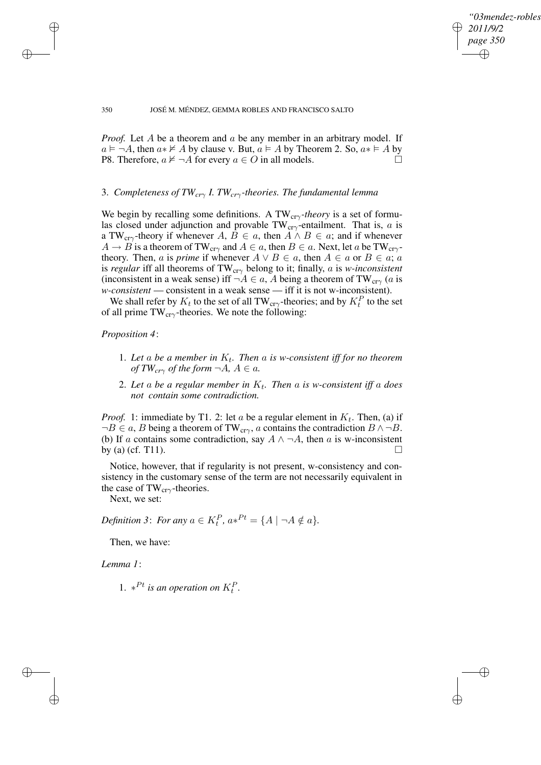✐

#### 350 JOSÉ M. MÉNDEZ, GEMMA ROBLES AND FRANCISCO SALTO

*Proof.* Let A be a theorem and a be any member in an arbitrary model. If  $a \models \neg A$ , then  $a * \not\models A$  by clause v. But,  $a \models A$  by Theorem 2. So,  $a * \models A$  by P8. Therefore,  $a \not\models \neg A$  for every  $a \in O$  in all models.

# 3. *Completeness of TWcr*<sup>γ</sup> *I. TWcr*γ*-theories. The fundamental lemma*

We begin by recalling some definitions. A TW<sub>crγ</sub>-theory is a set of formulas closed under adjunction and provable TW<sub>cr $\gamma$ </sub>-entailment. That is, a is a TW<sub>cr $\gamma$ </sub>-theory if whenever A,  $B \in a$ , then  $A \wedge B \in a$ ; and if whenever  $A \rightarrow B$  is a theorem of TW<sub>cr $\gamma$ </sub> and  $A \in a$ , then  $B \in a$ . Next, let a be TW<sub>cr $\gamma$ </sub>theory. Then, *a* is *prime* if whenever  $A \lor B \in a$ , then  $A \in a$  or  $B \in a$ ; *a* is *regular* iff all theorems of  $TW_{cr\gamma}$  belong to it; finally, a is *w-inconsistent* (inconsistent in a weak sense) iff  $\neg A \in a$ , A being a theorem of TW<sub>cr $\gamma$ </sub> (a is *w-consistent* — consistent in a weak sense — iff it is not w-inconsistent).

We shall refer by  $K_t$  to the set of all TW<sub>cr $\gamma$ </sub>-theories; and by  $K_t^P$  to the set of all prime  $TW_{cr\gamma}$ -theories. We note the following:

### *Proposition 4*:

✐

✐

- 1. Let a be a member in  $K_t$ . Then a is w-consistent iff for no theorem *of*  $TW_{cr\gamma}$  *of the form*  $\neg A, A \in \mathfrak{a}$ *.*
- 2. *Let* a *be a regular member in* K<sup>t</sup> *. Then* a *is w-consistent iff* a *does not contain some contradiction.*

*Proof.* 1: immediate by T1. 2: let a be a regular element in  $K_t$ . Then, (a) if  $\neg B \in a$ , B being a theorem of TW<sub>cr $\gamma$ </sub>, a contains the contradiction  $B \land \neg B$ . (b) If a contains some contradiction, say  $A \wedge \neg A$ , then a is w-inconsistent by (a) (cf. T11).  $\Box$ 

Notice, however, that if regularity is not present, w-consistency and consistency in the customary sense of the term are not necessarily equivalent in the case of TW $_{cr\gamma}$ -theories.

Next, we set:

*Definition* 3: *For any*  $a \in K_t^P$ ,  $a*^{Pt} = \{A \mid \neg A \notin a\}$ .

Then, we have:

*Lemma 1*:

✐

✐

1.  $*^{Pt}$  *is an operation on*  $K_t^P$ .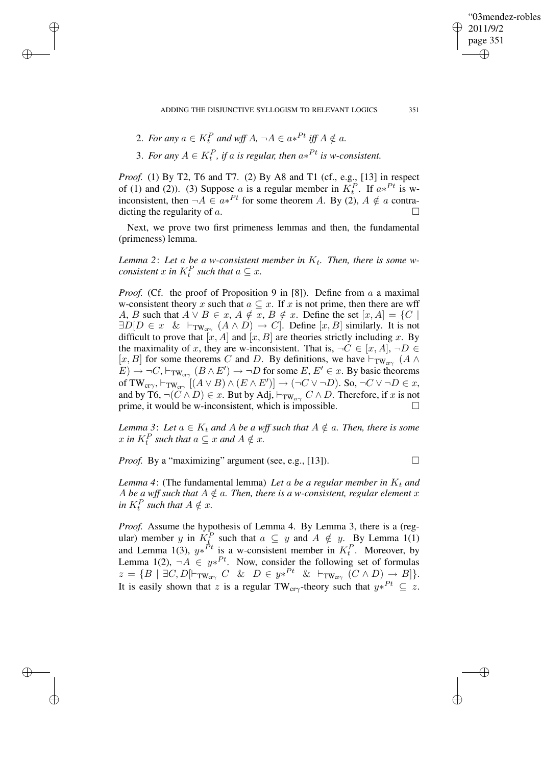"03mendez-robles 2011/9/2 page 351 ✐ ✐

ADDING THE DISJUNCTIVE SYLLOGISM TO RELEVANT LOGICS 351

2. For any  $a \in K_t^P$  and wff  $A$ ,  $\neg A \in a*^{Pt}$  iff  $A \notin a$ .

✐

✐

✐

✐

3. For any  $A \in K_t^P$ , if a is regular, then  $a*^{Pt}$  is w-consistent.

*Proof.* (1) By T2, T6 and T7. (2) By A8 and T1 (cf., e.g., [13] in respect of (1) and (2)). (3) Suppose a is a regular member in  $K_t^P$ . If  $a*^{Pt}$  is winconsistent, then  $\neg A \in a*^{Pt}$  for some theorem A. By (2),  $A \notin a$  contradicting the regularity of a.

Next, we prove two first primeness lemmas and then, the fundamental (primeness) lemma.

*Lemma* 2: Let a be a w-consistent member in  $K_t$ . Then, there is some w*consistent*  $x$  *in*  $K_t^P$  *such that*  $a \subseteq x$ *.* 

*Proof.* (Cf. the proof of Proposition 9 in [8]). Define from  $a$  a maximal w-consistent theory x such that  $a \subseteq x$ . If x is not prime, then there are wff A, B such that  $A \vee B \in x$ ,  $A \notin x$ ,  $B \notin x$ . Define the set  $[x, A] = \{C \mid A\}$  $\exists D[D \in x \& \vdash_{\text{TW}_{\text{cr}\gamma}} (A \land D) \rightarrow C]$ . Define  $[x, B]$  similarly. It is not difficult to prove that  $[x, A]$  and  $[x, B]$  are theories strictly including x. By the maximality of x, they are w-inconsistent. That is,  $\neg C \in [x, A], \neg D \in$  $[x, B]$  for some theorems C and D. By definitions, we have  $\vdash_{TW_{cr\gamma}} (A \land \neg$  $(E) \rightarrow \neg C$ ,  $\vdash_{TW_{cr\gamma}} (B \wedge E') \rightarrow \neg D$  for some  $E, E' \in \mathcal{X}$ . By basic theorems of TW<sub>cr $\gamma$ </sub>,  $\vdash_{\text{TW}_{\text{cr}\gamma}}$   $[(A \lor B) \land (E \land E')] \rightarrow (\neg C \lor \neg D)$ . So,  $\neg C \lor \neg D \in x$ , and by T6,  $\neg(C \land D) \in x$ . But by Adj,  $\neg_{\text{TW}_{\text{cr}\gamma}} C \land D$ . Therefore, if x is not prime, it would be w-inconsistent, which is impossible. prime, it would be w-inconsistent, which is impossible.

*Lemma* 3: Let  $a \in K_t$  *and* A be a wff such that  $A \notin a$ . Then, there is some  $x$  in  $K_t^P$  such that  $a \subseteq x$  and  $A \notin x$ .

*Proof.* By a "maximizing" argument (see, e.g., [13]).  $\Box$ 

✐

✐

*Lemma* 4: (The fundamental lemma) *Let* a *be* a *regular member* in  $K_t$  *and* A be a wff such that  $A \notin \mathfrak{a}$ . Then, there is a w-consistent, regular element x in  $K_t^P$  such that  $A \notin \mathcal{X}$ *.* 

*Proof.* Assume the hypothesis of Lemma 4. By Lemma 3, there is a (regular) member y in  $K_{\underline{t}}^P$  such that  $a \subseteq y$  and  $A \notin y$ . By Lemma 1(1) and Lemma 1(3),  $y*^{Pt}$  is a w-consistent member in  $K_t^P$ . Moreover, by Lemma 1(2),  $\neg A \in y*^{Pt}$ . Now, consider the following set of formulas  $z = \{B \mid \exists C, D \mid \vdash_{\text{TW}_{cr\gamma}} C \& D \in y*^{Pt} \& \vdash_{\text{TW}_{cr\gamma}} (C \wedge D) \to B] \}.$ It is easily shown that z is a regular TW<sub>cr $\gamma$ </sub>-theory such that  $y*^{Pt} \subseteq z$ .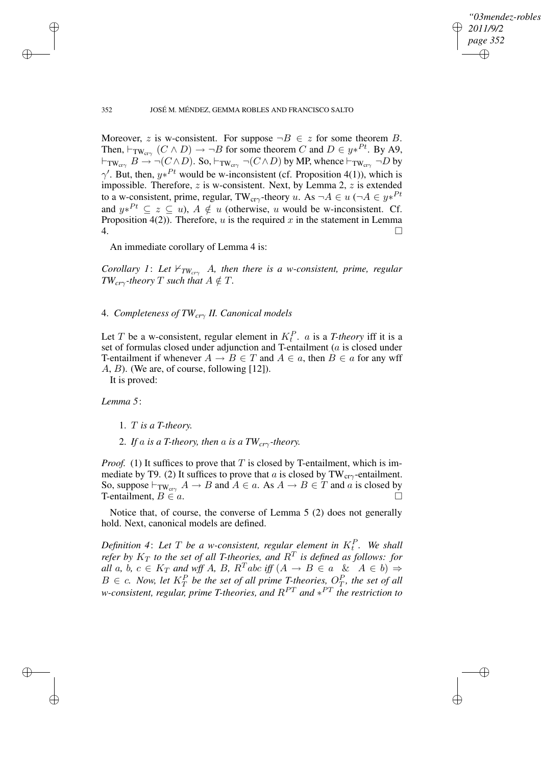✐

### 352 JOSÉ M. MÉNDEZ, GEMMA ROBLES AND FRANCISCO SALTO

Moreover, z is w-consistent. For suppose  $\neg B \in z$  for some theorem B. Then,  $\vdash_{TW_{cr\gamma}} (C \land D) \to \neg B$  for some theorem C and  $D \in y*^{Pt}$ . By A9,  $\vdash_{TW_{cr\gamma}} B \to \neg(C \land D)$ . So,  $\vdash_{TW_{cr\gamma}} \neg(C \land D)$  by MP, whence  $\vdash_{TW_{cr\gamma}} \neg D$  by  $\gamma'$ . But, then,  $y*^{Pt}$  would be w-inconsistent (cf. Proposition 4(1)), which is impossible. Therefore,  $z$  is w-consistent. Next, by Lemma 2,  $z$  is extended to a w-consistent, prime, regular, TW<sub>cr $\gamma$ </sub>-theory u. As  $\neg A \in u$  ( $\neg A \in y*^{Pt}$ and  $y*^{Pt} \subseteq z \subseteq u$ ),  $A \notin u$  (otherwise, u would be w-inconsistent. Cf. Proposition 4(2)). Therefore, u is the required x in the statement in Lemma  $\overline{4.}$ 

An immediate corollary of Lemma 4 is:

*Corollary* 1: Let  $\forall_{TW_{cr\gamma}}$  A, then there is a w-consistent, prime, regular *TW*<sub>*cr*γ</sub>-theory</sub> *T such* that  $A \notin T$ *.* 

4. *Completeness of TWcr*<sup>γ</sup> *II. Canonical models*

Let T be a w-consistent, regular element in  $K_t^P$ . *a* is a T-theory iff it is a set of formulas closed under adjunction and T-entailment (a is closed under T-entailment if whenever  $A \to B \in T$  and  $A \in a$ , then  $B \in a$  for any wff A, B). (We are, of course, following [12]).

It is proved:

*Lemma 5*:

✐

✐

✐

✐

- 1. T *is a T-theory.*
- 2. If a is a T-theory, then a is a  $TW_{cr\gamma}$ -theory.

*Proof.* (1) It suffices to prove that T is closed by T-entailment, which is immediate by T9. (2) It suffices to prove that a is closed by TW<sub>cr $\gamma$ </sub>-entailment. So, suppose  $\vdash_{\text{TW}_{\text{cty}}} A \to B$  and  $A \in a$ . As  $A \to B \in T$  and a is closed by T-entailment.  $B \in a$ . T-entailment,  $B \in a$ .

Notice that, of course, the converse of Lemma 5 (2) does not generally hold. Next, canonical models are defined.

*Definition* 4: Let  $T$  be a *w*-consistent, regular element in  $K_t^P$ . We shall *refer* by  $K_T$  *to the set of all T-theories, and*  $R^T$  *is defined as follows: for all* a, b,  $c \in K_T$  and wff A, B,  $R^T abc$  *iff*  $(A \rightarrow B \in a \& A \in b)$   $\Rightarrow$  $B \in \mathcal{C}$ . *Now, let*  $K_T^P$  *be the set of all prime T-theories,*  $O_T^P$ *, the set of all w-consistent, regular, prime T-theories, and* RPT *and* ∗ PT *the restriction to*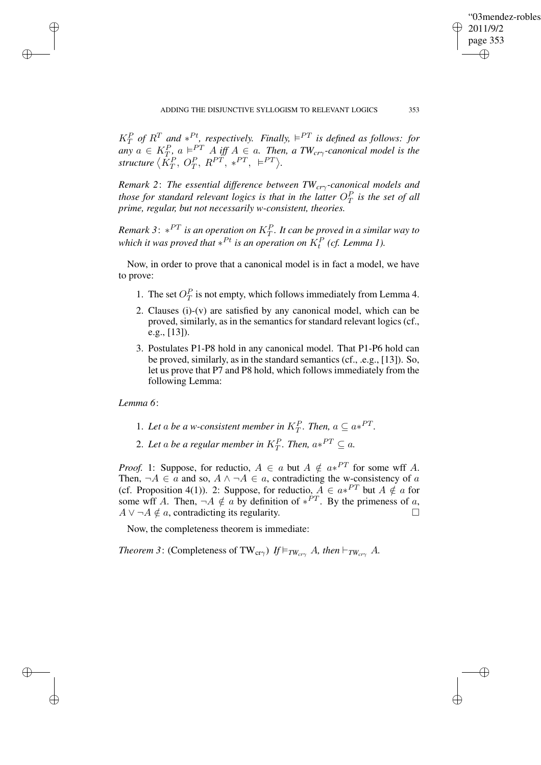✐

 $K_T^P$  of  $R^T$  and  $*^{Pt}$ , respectively. Finally,  $\models^{PT}$  is defined as follows: for  $a \in K_T^P$ ,  $a \models^{PT} A$  *iff*  $A \in a$ . *Then,*  $a$  *TW<sub>cr* $\gamma$ *</sub>-canonical model is the* structure  $\langle \tilde{K}_T^P, O_T^P, R^{PT}, *^{PT}, \vDash^{PT} \rangle$ .

*Remark 2*: *The essential difference between TWcr*γ*-canonical models and those for standard relevant logics is that in the latter*  $O_T^P$  *is the set of all prime, regular, but not necessarily w-consistent, theories.*

 $R$ emark 3:  $*^{PT}$  is an operation on  $K^P_T$ . It can be proved in a similar way to *which it was proved that*  $*^{Pt}$  *is an operation on*  $K_t^P$  *(cf. Lemma 1).* 

Now, in order to prove that a canonical model is in fact a model, we have to prove:

- 1. The set  $O_T^P$  is not empty, which follows immediately from Lemma 4.
- 2. Clauses (i)-(v) are satisfied by any canonical model, which can be proved, similarly, as in the semantics for standard relevant logics (cf., e.g., [13]).
- 3. Postulates P1-P8 hold in any canonical model. That P1-P6 hold can be proved, similarly, as in the standard semantics (cf., .e.g., [13]). So, let us prove that P7 and P8 hold, which follows immediately from the following Lemma:

*Lemma 6*:

✐

✐

✐

✐

- 1. Let a be a *w*-consistent member in  $K_T^P$ . Then,  $a \subseteq a*^{PT}$ .
- 2. Let a be a regular member in  $K_T^P$ . Then,  $a*^{PT} \subseteq a$ .

*Proof.* 1: Suppose, for reductio,  $A \in a$  but  $A \notin a*^{PT}$  for some wff A. Then,  $\neg A \in \mathfrak{a}$  and so,  $A \land \neg A \in \mathfrak{a}$ , contradicting the w-consistency of  $\mathfrak{a}$ (cf. Proposition 4(1)). 2: Suppose, for reductio,  $A \in a*^{PT}$  but  $A \notin a$  for some wff A. Then,  $\neg A \notin a$  by definition of  $*^{PT}$ . By the primeness of a,  $A \vee \neg A \notin \alpha$ , contradicting its regularity.

Now, the completeness theorem is immediate:

*Theorem* 3: (Completeness of TW<sub>cr $\gamma$ </sub>) *If*  $\models_{TW_{cr\gamma}} A$ *, then*  $\models_{TW_{cr\gamma}} A$ .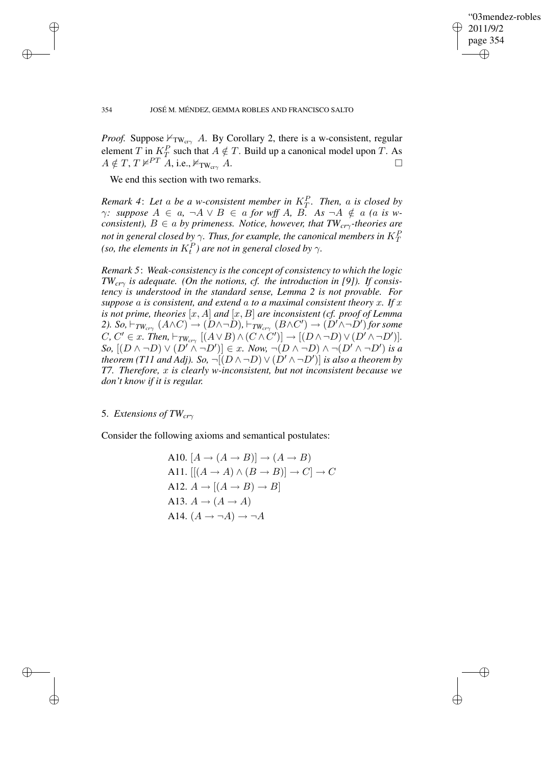✐

### 354 JOSÉ M. MÉNDEZ, GEMMA ROBLES AND FRANCISCO SALTO

*Proof.* Suppose  $\nvdash_{TW_{cry}} A$ . By Corollary 2, there is a w-consistent, regular element T in  $K_T^P$  such that  $A \notin T$ . Build up a canonical model upon T. As  $A \notin T$ ,  $T \nvDash^{PT} A$ , i.e.,  $\vDash_{TW_{cr\gamma}} A$ .

We end this section with two remarks.

✐

✐

✐

✐

*Remark* 4: Let a be a *w*-consistent member in  $K_T^P$ . Then, a is closed by *γ: suppose*  $A \in a$ ,  $\neg A ∨ B \in a$  *for wff*  $A$ ,  $B$ .  $As \neg A \notin a$  (*a is wconsistent),* B ∈ a *by primeness. Notice, however, that TWcr*γ*-theories are not in general closed by*  $\gamma$ *. Thus, for example, the canonical members in*  $K_T^P$ *(so, the elements in*  $K_t^P$ *) are not in general closed by*  $\gamma$ *.* 

*Remark 5*: *Weak-consistency is the concept of consistency to which the logic TWcr*<sup>γ</sup> *is adequate. (On the notions, cf. the introduction in [9]). If consistency is understood in the standard sense, Lemma 2 is not provable. For suppose* a *is consistent, and extend* a *to a maximal consistent theory* x*. If* x *is* not prime, theories  $[x, A]$  *and*  $[x, B]$  *are inconsistent (cf. proof of Lemma* 2). *So,*  $\vdash_{TW_{cr\gamma}}(A\wedge C) \rightarrow (D\wedge \neg D)$ ,  $\vdash_{TW_{cr\gamma}}(B\wedge C') \rightarrow (D'\wedge \neg D')$  for some  $C, C' \in x$ . Then,  $\vdash_{T W_{cr\gamma}} [(A \lor B) \land (C \land C')] \rightarrow [(D \land \neg D) \lor (D' \land \neg D')]$ .  $\mathcal{S}$ *o,*  $[(D \wedge \neg D) \vee (D' \wedge \neg D')] \in x$ . *Now,*  $\neg(D \wedge \neg D) \wedge \neg(D' \wedge \neg D')$  *is a theorem* (T11 and *Adj).* So,  $\neg[(D \wedge \neg D) \vee (D' \wedge \neg D')]$  *is also a theorem by T7. Therefore,* x *is clearly w-inconsistent, but not inconsistent because we don't know if it is regular.*

# 5. *Extensions of TWcr*<sup>γ</sup>

Consider the following axioms and semantical postulates:

A10. 
$$
[A \rightarrow (A \rightarrow B)] \rightarrow (A \rightarrow B)
$$
  
\nA11.  $[[(A \rightarrow A) \land (B \rightarrow B)] \rightarrow C] \rightarrow C$   
\nA12.  $A \rightarrow [(A \rightarrow B) \rightarrow B]$   
\nA13.  $A \rightarrow (A \rightarrow A)$   
\nA14.  $(A \rightarrow \neg A) \rightarrow \neg A$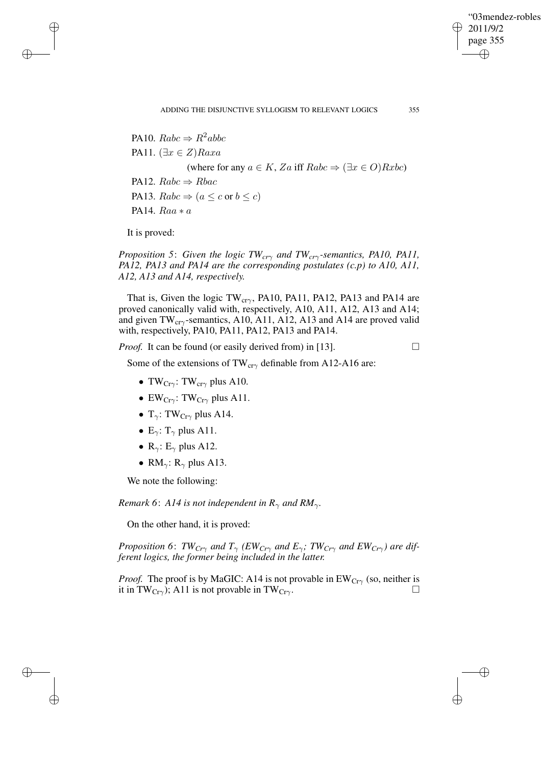✐

PA10.  $Rabc \Rightarrow R^2abbc$ PA11.  $(\exists x \in Z)$ Raxa (where for any  $a \in K$ , Za iff  $Rabc \Rightarrow (\exists x \in O)Rxbc$ ) PA12.  $Rabc \Rightarrow Rbac$ PA13.  $Rabc \Rightarrow (a \leq c \text{ or } b \leq c)$ PA14. Raa ∗ a

It is proved:

✐

✐

✐

✐

*Proposition 5*: *Given the logic TWcr*<sup>γ</sup> *and TWcr*γ*-semantics, PA10, PA11, PA12, PA13 and PA14 are the corresponding postulates (c.p) to A10, A11, A12, A13 and A14, respectively.*

That is, Given the logic TW<sub>cr $\gamma$ </sub>, PA10, PA11, PA12, PA13 and PA14 are proved canonically valid with, respectively, A10, A11, A12, A13 and A14; and given  $TW_{cr\gamma}$ -semantics, A10, A11, A12, A13 and A14 are proved valid with, respectively, PA10, PA11, PA12, PA13 and PA14.

*Proof.* It can be found (or easily derived from) in [13].

Some of the extensions of TW<sub>cr $\gamma$ </sub> definable from A12-A16 are:

- TW<sub>Cr $\gamma$ </sub>: TW<sub>cr $\gamma$ </sub> plus A10.
- EW<sub>Cr $\gamma$ </sub>: TW<sub>Cr $\gamma$ </sub> plus A11.
- T<sub>γ</sub>: TW<sub>Crγ</sub> plus A14.
- E<sub>γ</sub>: T<sub>γ</sub> plus A11.
- $R_{\gamma}$ :  $E_{\gamma}$  plus A12.
- RM<sub> $\gamma$ </sub>: R<sub> $\gamma$ </sub> plus A13.

We note the following:

*Remark* 6: *A14 is not independent in*  $R_{\gamma}$  *and*  $RM_{\gamma}$ *.* 

On the other hand, it is proved:

*Proposition* 6:  $TW_{Cr\gamma}$  *and*  $T_{\gamma}$  *(EW<sub>Cr* $\gamma$ *</sub> and*  $E_{\gamma}$ *;*  $TW_{Cr\gamma}$  *and*  $EW_{Cr\gamma}$ *) are different logics, the former being included in the latter.*

*Proof.* The proof is by MaGIC: A14 is not provable in  $EW_{Cr\gamma}$  (so, neither is it in TW<sub>Crv</sub>): A11 is not provable in TW<sub>Crv</sub> it in TW<sub>Cr $\gamma$ </sub>); A11 is not provable in TW<sub>Cr $\gamma$ </sub>.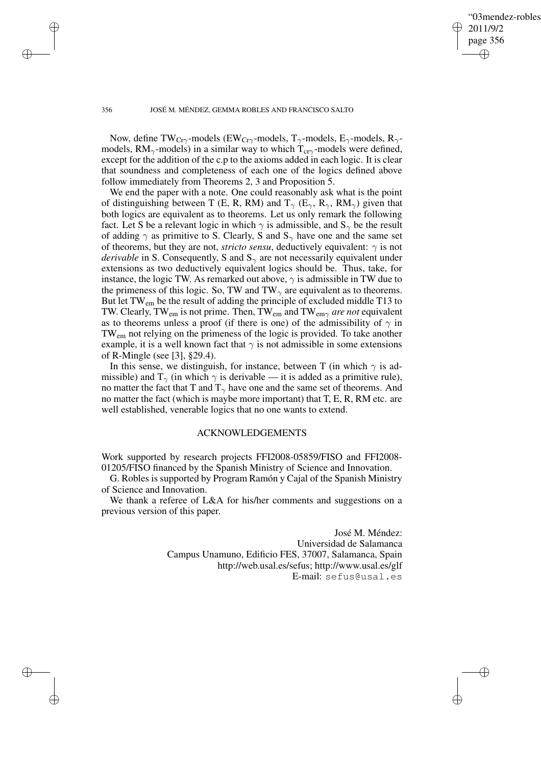✐

#### 356 JOSÉ M. MÉNDEZ, GEMMA ROBLES AND FRANCISCO SALTO

✐

✐

✐

✐

Now, define TW<sub>Cr $\gamma$ </sub>-models (EW<sub>Cr $\gamma$ </sub>-models, T<sub> $\gamma$ </sub>-models, E<sub> $\gamma$ </sub>-models, R<sub> $\gamma$ </sub>models,  $RM_{\gamma}$ -models) in a similar way to which  $T_{cr\gamma}$ -models were defined, except for the addition of the c.p to the axioms added in each logic. It is clear that soundness and completeness of each one of the logics defined above follow immediately from Theorems 2, 3 and Proposition 5.

We end the paper with a note. One could reasonably ask what is the point of distinguishing between T (E, R, RM) and  $T_{\gamma}$  (E<sub> $\gamma$ </sub>, R<sub> $\gamma$ </sub>, RM<sub> $_{\gamma}$ </sub>) given that both logics are equivalent as to theorems. Let us only remark the following fact. Let S be a relevant logic in which  $\gamma$  is admissible, and  $S_{\gamma}$  be the result of adding  $\gamma$  as primitive to S. Clearly, S and  $S_{\gamma}$  have one and the same set of theorems, but they are not, *stricto sensu*, deductively equivalent:  $\gamma$  is not *derivable* in S. Consequently, S and  $S_\gamma$  are not necessarily equivalent under extensions as two deductively equivalent logics should be. Thus, take, for instance, the logic TW. As remarked out above,  $\gamma$  is admissible in TW due to the primeness of this logic. So, TW and TW<sub> $\gamma$ </sub> are equivalent as to theorems. But let TW<sub>em</sub> be the result of adding the principle of excluded middle T13 to TW. Clearly, TWem is not prime. Then, TWem and TWem<sup>γ</sup> *are not* equivalent as to theorems unless a proof (if there is one) of the admissibility of  $\gamma$  in TWem not relying on the primeness of the logic is provided. To take another example, it is a well known fact that  $\gamma$  is not admissible in some extensions of R-Mingle (see [3], §29.4).

In this sense, we distinguish, for instance, between T (in which  $\gamma$  is admissible) and  $T_{\gamma}$  (in which  $\gamma$  is derivable — it is added as a primitive rule), no matter the fact that T and  $T_{\gamma}$  have one and the same set of theorems. And no matter the fact (which is maybe more important) that  $T, E, R, RM$  etc. are well established, venerable logics that no one wants to extend.

### ACKNOWLEDGEMENTS

Work supported by research projects FFI2008-05859/FISO and FFI2008- 01205/FISO financed by the Spanish Ministry of Science and Innovation.

G. Robles is supported by Program Ramón y Cajal of the Spanish Ministry of Science and Innovation.

We thank a referee of L&A for his/her comments and suggestions on a previous version of this paper.

> José M. Méndez: Universidad de Salamanca Campus Unamuno, Edificio FES, 37007, Salamanca, Spain http://web.usal.es/sefus; http://www.usal.es/glf E-mail: sefus@usal.es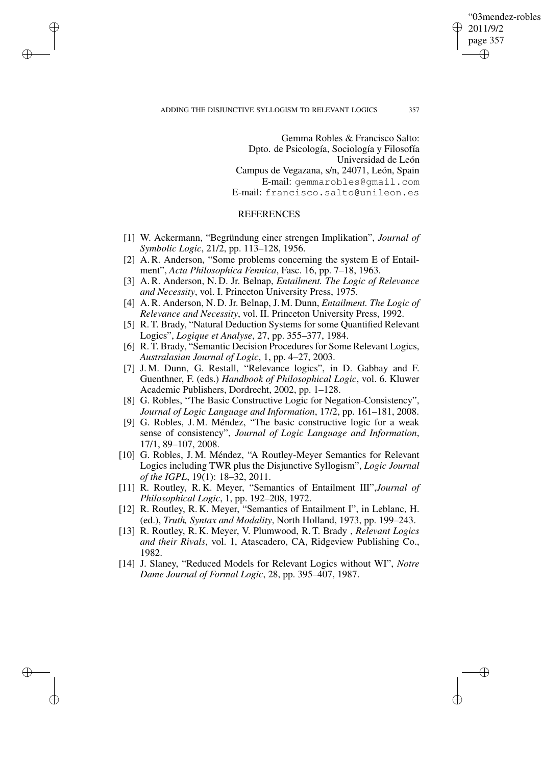'03mendez-robles 2011/9/2 page 357 ✐ ✐

✐

✐

#### ADDING THE DISJUNCTIVE SYLLOGISM TO RELEVANT LOGICS 357

✐

✐

✐

✐

Gemma Robles & Francisco Salto: Dpto. de Psicología, Sociología y Filosofía Universidad de León Campus de Vegazana, s/n, 24071, León, Spain E-mail: gemmarobles@gmail.com E-mail: francisco.salto@unileon.es

### **REFERENCES**

- [1] W. Ackermann, "Begründung einer strengen Implikation", *Journal of Symbolic Logic*, 21/2, pp. 113–128, 1956.
- [2] A. R. Anderson, "Some problems concerning the system E of Entailment", *Acta Philosophica Fennica*, Fasc. 16, pp. 7–18, 1963.
- [3] A. R. Anderson, N. D. Jr. Belnap, *Entailment. The Logic of Relevance and Necessity*, vol. I. Princeton University Press, 1975.
- [4] A. R. Anderson, N. D. Jr. Belnap, J. M. Dunn, *Entailment. The Logic of Relevance and Necessity*, vol. II. Princeton University Press, 1992.
- [5] R. T. Brady, "Natural Deduction Systems for some Quantified Relevant Logics", *Logique et Analyse*, 27, pp. 355–377, 1984.
- [6] R. T. Brady, "Semantic Decision Procedures for Some Relevant Logics, *Australasian Journal of Logic*, 1, pp. 4–27, 2003.
- [7] J. M. Dunn, G. Restall, "Relevance logics", in D. Gabbay and F. Guenthner, F. (eds.) *Handbook of Philosophical Logic*, vol. 6. Kluwer Academic Publishers, Dordrecht, 2002, pp. 1–128.
- [8] G. Robles, "The Basic Constructive Logic for Negation-Consistency", *Journal of Logic Language and Information*, 17/2, pp. 161–181, 2008.
- [9] G. Robles, J. M. Méndez, "The basic constructive logic for a weak sense of consistency", *Journal of Logic Language and Information*, 17/1, 89–107, 2008.
- [10] G. Robles, J. M. Méndez, "A Routley-Meyer Semantics for Relevant Logics including TWR plus the Disjunctive Syllogism", *Logic Journal of the IGPL*, 19(1): 18–32, 2011.
- [11] R. Routley, R. K. Meyer, "Semantics of Entailment III",*Journal of Philosophical Logic*, 1, pp. 192–208, 1972.
- [12] R. Routley, R. K. Meyer, "Semantics of Entailment I", in Leblanc, H. (ed.), *Truth, Syntax and Modality*, North Holland, 1973, pp. 199–243.
- [13] R. Routley, R. K. Meyer, V. Plumwood, R. T. Brady , *Relevant Logics and their Rivals*, vol. 1, Atascadero, CA, Ridgeview Publishing Co., 1982.
- [14] J. Slaney, "Reduced Models for Relevant Logics without WI", *Notre Dame Journal of Formal Logic*, 28, pp. 395–407, 1987.